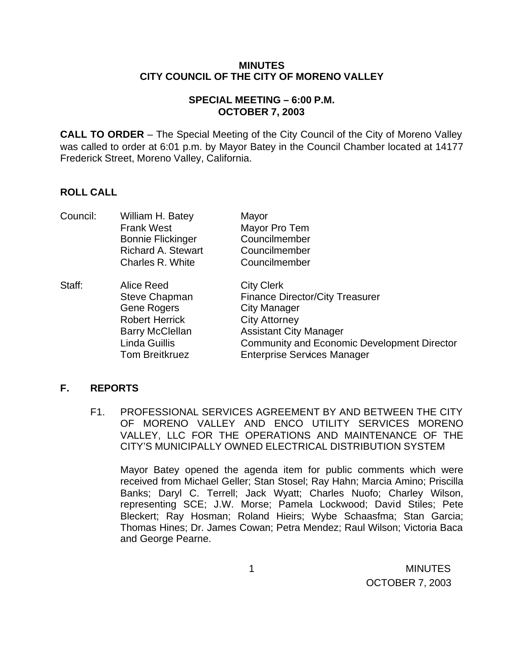#### **MINUTES CITY COUNCIL OF THE CITY OF MORENO VALLEY**

# **SPECIAL MEETING – 6:00 P.M. OCTOBER 7, 2003**

**CALL TO ORDER** – The Special Meeting of the City Council of the City of Moreno Valley was called to order at 6:01 p.m. by Mayor Batey in the Council Chamber located at 14177 Frederick Street, Moreno Valley, California.

# **ROLL CALL**

| Council: | William H. Batey          | Mayor                                              |
|----------|---------------------------|----------------------------------------------------|
|          | <b>Frank West</b>         | Mayor Pro Tem                                      |
|          | <b>Bonnie Flickinger</b>  | Councilmember                                      |
|          | <b>Richard A. Stewart</b> | Councilmember                                      |
|          | Charles R. White          | Councilmember                                      |
| Staff:   | Alice Reed                | <b>City Clerk</b>                                  |
|          | Steve Chapman             | <b>Finance Director/City Treasurer</b>             |
|          | <b>Gene Rogers</b>        | <b>City Manager</b>                                |
|          | <b>Robert Herrick</b>     | <b>City Attorney</b>                               |
|          | <b>Barry McClellan</b>    | <b>Assistant City Manager</b>                      |
|          | Linda Guillis             | <b>Community and Economic Development Director</b> |
|          | <b>Tom Breitkruez</b>     | <b>Enterprise Services Manager</b>                 |

### **F. REPORTS**

F1. PROFESSIONAL SERVICES AGREEMENT BY AND BETWEEN THE CITY OF MORENO VALLEY AND ENCO UTILITY SERVICES MORENO VALLEY, LLC FOR THE OPERATIONS AND MAINTENANCE OF THE CITY'S MUNICIPALLY OWNED ELECTRICAL DISTRIBUTION SYSTEM

Mayor Batey opened the agenda item for public comments which were received from Michael Geller; Stan Stosel; Ray Hahn; Marcia Amino; Priscilla Banks; Daryl C. Terrell; Jack Wyatt; Charles Nuofo; Charley Wilson, representing SCE; J.W. Morse; Pamela Lockwood; David Stiles; Pete Bleckert; Ray Hosman; Roland Hieirs; Wybe Schaasfma; Stan Garcia; Thomas Hines; Dr. James Cowan; Petra Mendez; Raul Wilson; Victoria Baca and George Pearne.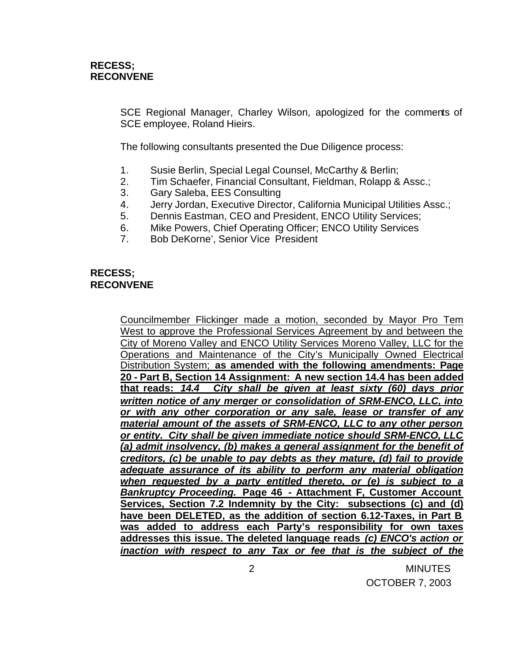SCE Regional Manager, Charley Wilson, apologized for the comments of SCE employee, Roland Hieirs.

The following consultants presented the Due Diligence process:

- 1. Susie Berlin, Special Legal Counsel, McCarthy & Berlin;
- 2. Tim Schaefer, Financial Consultant, Fieldman, Rolapp & Assc.;
- 3. Gary Saleba, EES Consulting
- 4. Jerry Jordan, Executive Director, California Municipal Utilities Assc.;
- 5. Dennis Eastman, CEO and President, ENCO Utility Services;
- 6. Mike Powers, Chief Operating Officer; ENCO Utility Services
- 7. Bob DeKorne', Senior Vice President

# **RECESS; RECONVENE**

Councilmember Flickinger made a motion, seconded by Mayor Pro Tem West to approve the Professional Services Agreement by and between the City of Moreno Valley and ENCO Utility Services Moreno Valley, LLC for the Operations and Maintenance of the City's Municipally Owned Electrical Distribution System; **as amended with the following amendments: Page 20 - Part B, Section 14 Assignment: A new section 14.4 has been added that reads:** *14.4 City shall be given at least sixty (60) days prior written notice of any merger or consolidation of SRM-ENCO, LLC, into or with any other corporation or any sale, lease or transfer of any material amount of the assets of SRM-ENCO, LLC to any other person or entity. City shall be given immediate notice should SRM-ENCO, LLC (a) admit insolvency, (b) makes a general assignment for the benefit of creditors, (c) be unable to pay debts as they mature, (d) fail to provide adequate assurance of its ability to perform any material obligation when requested by a party entitled thereto, or (e) is subject to a Bankruptcy Proceeding.* **Page 46 - Attachment F, Customer Account Services, Section 7.2 Indemnity by the City: subsections (c) and (d) have been DELETED, as the addition of section 6.12-Taxes, in Part B was added to address each Party's responsibility for own taxes addresses this issue. The deleted language reads** *(c) ENCO's action or inaction with respect to any Tax or fee that is the subject of the*